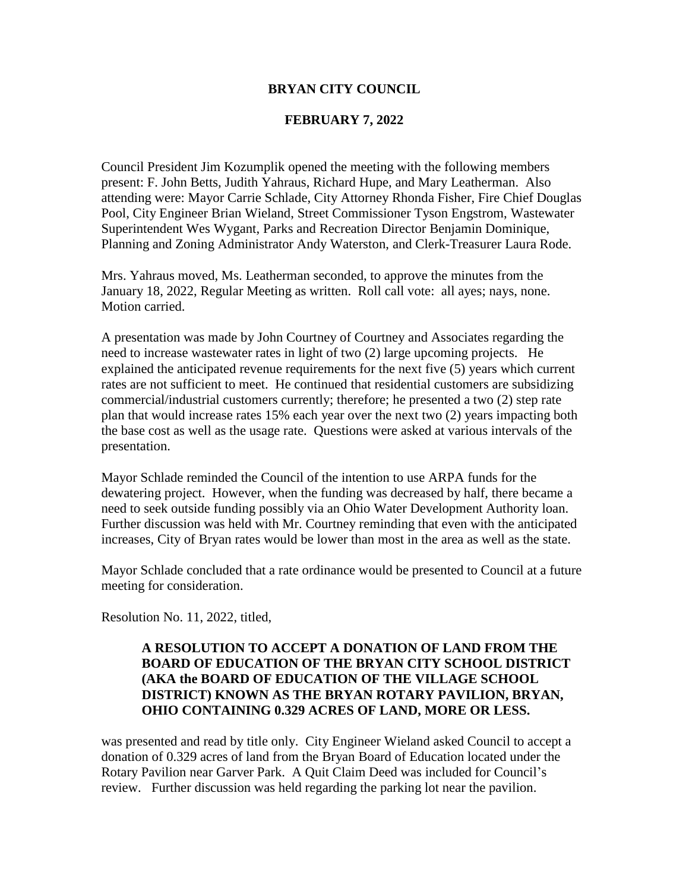### **BRYAN CITY COUNCIL**

#### **FEBRUARY 7, 2022**

Council President Jim Kozumplik opened the meeting with the following members present: F. John Betts, Judith Yahraus, Richard Hupe, and Mary Leatherman. Also attending were: Mayor Carrie Schlade, City Attorney Rhonda Fisher, Fire Chief Douglas Pool, City Engineer Brian Wieland, Street Commissioner Tyson Engstrom, Wastewater Superintendent Wes Wygant, Parks and Recreation Director Benjamin Dominique, Planning and Zoning Administrator Andy Waterston, and Clerk-Treasurer Laura Rode.

Mrs. Yahraus moved, Ms. Leatherman seconded, to approve the minutes from the January 18, 2022, Regular Meeting as written. Roll call vote: all ayes; nays, none. Motion carried.

A presentation was made by John Courtney of Courtney and Associates regarding the need to increase wastewater rates in light of two (2) large upcoming projects. He explained the anticipated revenue requirements for the next five (5) years which current rates are not sufficient to meet. He continued that residential customers are subsidizing commercial/industrial customers currently; therefore; he presented a two (2) step rate plan that would increase rates 15% each year over the next two (2) years impacting both the base cost as well as the usage rate. Questions were asked at various intervals of the presentation.

Mayor Schlade reminded the Council of the intention to use ARPA funds for the dewatering project. However, when the funding was decreased by half, there became a need to seek outside funding possibly via an Ohio Water Development Authority loan. Further discussion was held with Mr. Courtney reminding that even with the anticipated increases, City of Bryan rates would be lower than most in the area as well as the state.

Mayor Schlade concluded that a rate ordinance would be presented to Council at a future meeting for consideration.

Resolution No. 11, 2022, titled,

# **A RESOLUTION TO ACCEPT A DONATION OF LAND FROM THE BOARD OF EDUCATION OF THE BRYAN CITY SCHOOL DISTRICT (AKA the BOARD OF EDUCATION OF THE VILLAGE SCHOOL DISTRICT) KNOWN AS THE BRYAN ROTARY PAVILION, BRYAN, OHIO CONTAINING 0.329 ACRES OF LAND, MORE OR LESS.**

was presented and read by title only. City Engineer Wieland asked Council to accept a donation of 0.329 acres of land from the Bryan Board of Education located under the Rotary Pavilion near Garver Park. A Quit Claim Deed was included for Council's review. Further discussion was held regarding the parking lot near the pavilion.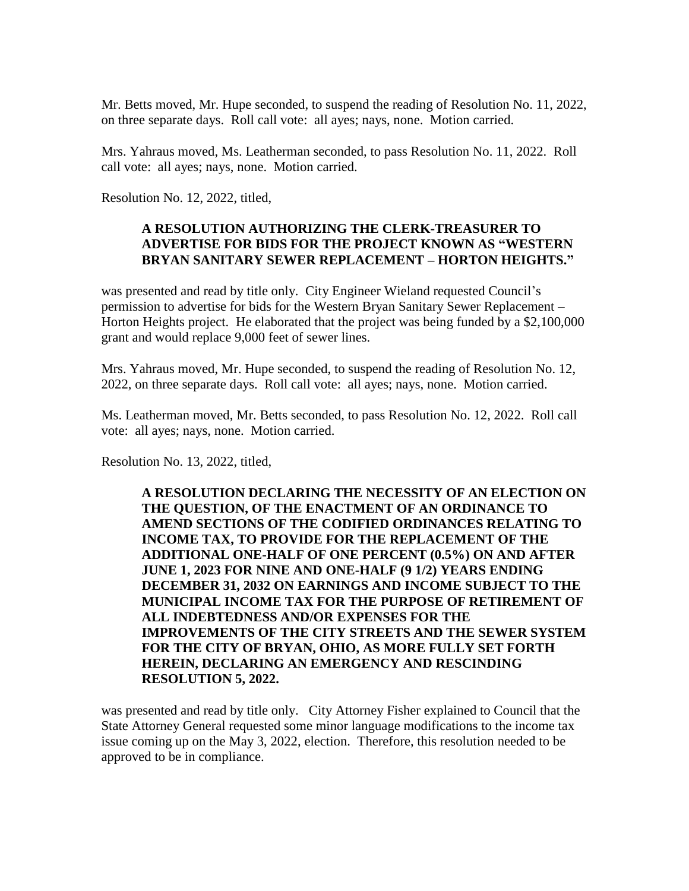Mr. Betts moved, Mr. Hupe seconded, to suspend the reading of Resolution No. 11, 2022, on three separate days. Roll call vote: all ayes; nays, none. Motion carried.

Mrs. Yahraus moved, Ms. Leatherman seconded, to pass Resolution No. 11, 2022. Roll call vote: all ayes; nays, none. Motion carried.

Resolution No. 12, 2022, titled,

### **A RESOLUTION AUTHORIZING THE CLERK-TREASURER TO ADVERTISE FOR BIDS FOR THE PROJECT KNOWN AS "WESTERN BRYAN SANITARY SEWER REPLACEMENT – HORTON HEIGHTS."**

was presented and read by title only. City Engineer Wieland requested Council's permission to advertise for bids for the Western Bryan Sanitary Sewer Replacement – Horton Heights project. He elaborated that the project was being funded by a \$2,100,000 grant and would replace 9,000 feet of sewer lines.

Mrs. Yahraus moved, Mr. Hupe seconded, to suspend the reading of Resolution No. 12, 2022, on three separate days. Roll call vote: all ayes; nays, none. Motion carried.

Ms. Leatherman moved, Mr. Betts seconded, to pass Resolution No. 12, 2022. Roll call vote: all ayes; nays, none. Motion carried.

Resolution No. 13, 2022, titled,

**A RESOLUTION DECLARING THE NECESSITY OF AN ELECTION ON THE QUESTION, OF THE ENACTMENT OF AN ORDINANCE TO AMEND SECTIONS OF THE CODIFIED ORDINANCES RELATING TO INCOME TAX, TO PROVIDE FOR THE REPLACEMENT OF THE ADDITIONAL ONE-HALF OF ONE PERCENT (0.5%) ON AND AFTER JUNE 1, 2023 FOR NINE AND ONE-HALF (9 1/2) YEARS ENDING DECEMBER 31, 2032 ON EARNINGS AND INCOME SUBJECT TO THE MUNICIPAL INCOME TAX FOR THE PURPOSE OF RETIREMENT OF ALL INDEBTEDNESS AND/OR EXPENSES FOR THE IMPROVEMENTS OF THE CITY STREETS AND THE SEWER SYSTEM FOR THE CITY OF BRYAN, OHIO, AS MORE FULLY SET FORTH HEREIN, DECLARING AN EMERGENCY AND RESCINDING RESOLUTION 5, 2022.**

was presented and read by title only. City Attorney Fisher explained to Council that the State Attorney General requested some minor language modifications to the income tax issue coming up on the May 3, 2022, election. Therefore, this resolution needed to be approved to be in compliance.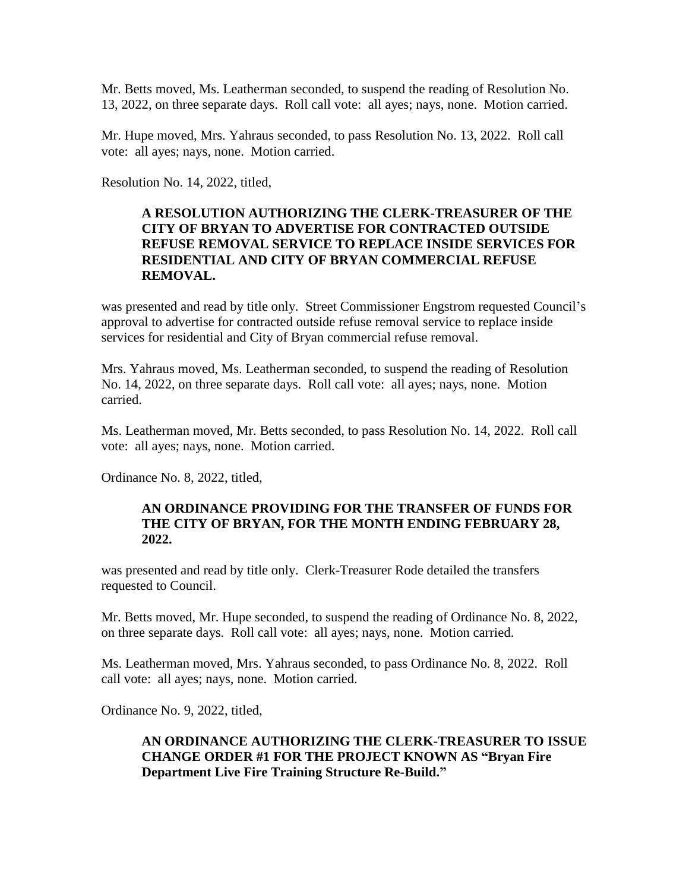Mr. Betts moved, Ms. Leatherman seconded, to suspend the reading of Resolution No. 13, 2022, on three separate days. Roll call vote: all ayes; nays, none. Motion carried.

Mr. Hupe moved, Mrs. Yahraus seconded, to pass Resolution No. 13, 2022. Roll call vote: all ayes; nays, none. Motion carried.

Resolution No. 14, 2022, titled,

## **A RESOLUTION AUTHORIZING THE CLERK-TREASURER OF THE CITY OF BRYAN TO ADVERTISE FOR CONTRACTED OUTSIDE REFUSE REMOVAL SERVICE TO REPLACE INSIDE SERVICES FOR RESIDENTIAL AND CITY OF BRYAN COMMERCIAL REFUSE REMOVAL.**

was presented and read by title only. Street Commissioner Engstrom requested Council's approval to advertise for contracted outside refuse removal service to replace inside services for residential and City of Bryan commercial refuse removal.

Mrs. Yahraus moved, Ms. Leatherman seconded, to suspend the reading of Resolution No. 14, 2022, on three separate days. Roll call vote: all ayes; nays, none. Motion carried.

Ms. Leatherman moved, Mr. Betts seconded, to pass Resolution No. 14, 2022. Roll call vote: all ayes; nays, none. Motion carried.

Ordinance No. 8, 2022, titled,

### **AN ORDINANCE PROVIDING FOR THE TRANSFER OF FUNDS FOR THE CITY OF BRYAN, FOR THE MONTH ENDING FEBRUARY 28, 2022.**

was presented and read by title only. Clerk-Treasurer Rode detailed the transfers requested to Council.

Mr. Betts moved, Mr. Hupe seconded, to suspend the reading of Ordinance No. 8, 2022, on three separate days. Roll call vote: all ayes; nays, none. Motion carried.

Ms. Leatherman moved, Mrs. Yahraus seconded, to pass Ordinance No. 8, 2022. Roll call vote: all ayes; nays, none. Motion carried.

Ordinance No. 9, 2022, titled,

## **AN ORDINANCE AUTHORIZING THE CLERK-TREASURER TO ISSUE CHANGE ORDER #1 FOR THE PROJECT KNOWN AS "Bryan Fire Department Live Fire Training Structure Re-Build."**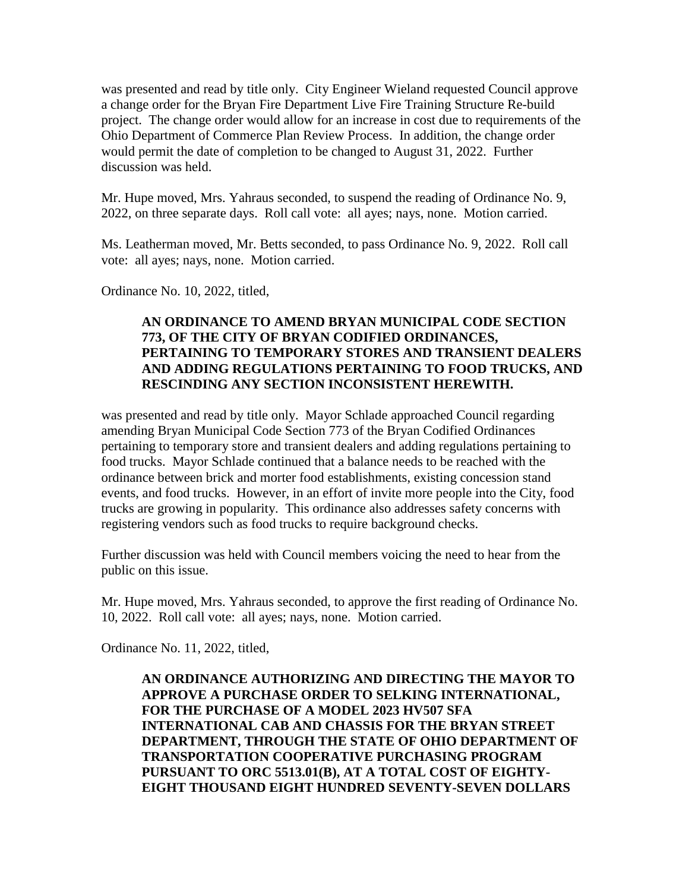was presented and read by title only. City Engineer Wieland requested Council approve a change order for the Bryan Fire Department Live Fire Training Structure Re-build project. The change order would allow for an increase in cost due to requirements of the Ohio Department of Commerce Plan Review Process. In addition, the change order would permit the date of completion to be changed to August 31, 2022. Further discussion was held.

Mr. Hupe moved, Mrs. Yahraus seconded, to suspend the reading of Ordinance No. 9, 2022, on three separate days. Roll call vote: all ayes; nays, none. Motion carried.

Ms. Leatherman moved, Mr. Betts seconded, to pass Ordinance No. 9, 2022. Roll call vote: all ayes; nays, none. Motion carried.

Ordinance No. 10, 2022, titled,

# **AN ORDINANCE TO AMEND BRYAN MUNICIPAL CODE SECTION 773, OF THE CITY OF BRYAN CODIFIED ORDINANCES, PERTAINING TO TEMPORARY STORES AND TRANSIENT DEALERS AND ADDING REGULATIONS PERTAINING TO FOOD TRUCKS, AND RESCINDING ANY SECTION INCONSISTENT HEREWITH.**

was presented and read by title only. Mayor Schlade approached Council regarding amending Bryan Municipal Code Section 773 of the Bryan Codified Ordinances pertaining to temporary store and transient dealers and adding regulations pertaining to food trucks. Mayor Schlade continued that a balance needs to be reached with the ordinance between brick and morter food establishments, existing concession stand events, and food trucks. However, in an effort of invite more people into the City, food trucks are growing in popularity. This ordinance also addresses safety concerns with registering vendors such as food trucks to require background checks.

Further discussion was held with Council members voicing the need to hear from the public on this issue.

Mr. Hupe moved, Mrs. Yahraus seconded, to approve the first reading of Ordinance No. 10, 2022. Roll call vote: all ayes; nays, none. Motion carried.

Ordinance No. 11, 2022, titled,

**AN ORDINANCE AUTHORIZING AND DIRECTING THE MAYOR TO APPROVE A PURCHASE ORDER TO SELKING INTERNATIONAL, FOR THE PURCHASE OF A MODEL 2023 HV507 SFA INTERNATIONAL CAB AND CHASSIS FOR THE BRYAN STREET DEPARTMENT, THROUGH THE STATE OF OHIO DEPARTMENT OF TRANSPORTATION COOPERATIVE PURCHASING PROGRAM PURSUANT TO ORC 5513.01(B), AT A TOTAL COST OF EIGHTY-EIGHT THOUSAND EIGHT HUNDRED SEVENTY-SEVEN DOLLARS**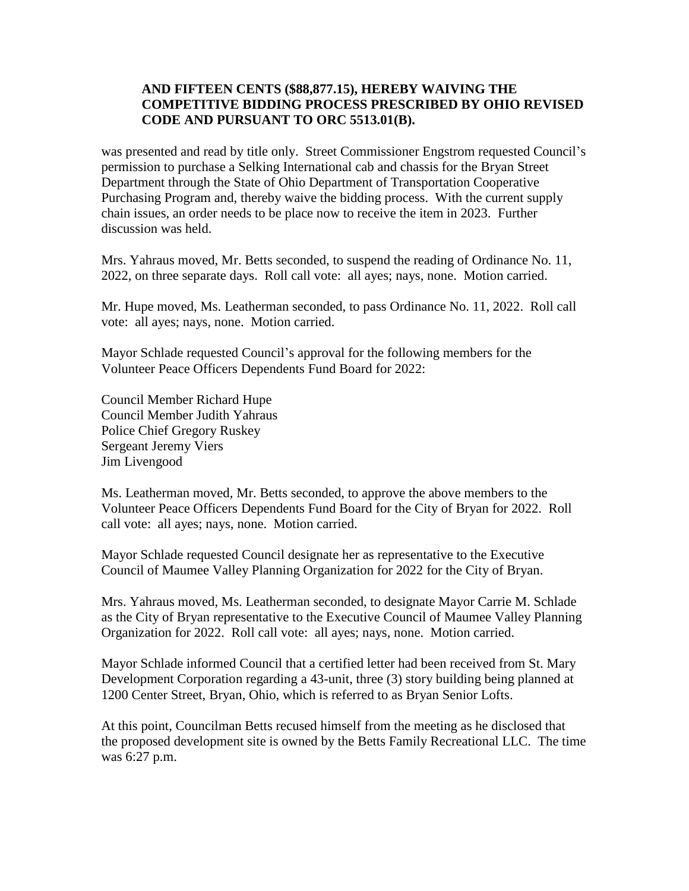## **AND FIFTEEN CENTS (\$88,877.15), HEREBY WAIVING THE COMPETITIVE BIDDING PROCESS PRESCRIBED BY OHIO REVISED CODE AND PURSUANT TO ORC 5513.01(B).**

was presented and read by title only. Street Commissioner Engstrom requested Council's permission to purchase a Selking International cab and chassis for the Bryan Street Department through the State of Ohio Department of Transportation Cooperative Purchasing Program and, thereby waive the bidding process. With the current supply chain issues, an order needs to be place now to receive the item in 2023. Further discussion was held.

Mrs. Yahraus moved, Mr. Betts seconded, to suspend the reading of Ordinance No. 11, 2022, on three separate days. Roll call vote: all ayes; nays, none. Motion carried.

Mr. Hupe moved, Ms. Leatherman seconded, to pass Ordinance No. 11, 2022. Roll call vote: all ayes; nays, none. Motion carried.

Mayor Schlade requested Council's approval for the following members for the Volunteer Peace Officers Dependents Fund Board for 2022:

Council Member Richard Hupe Council Member Judith Yahraus Police Chief Gregory Ruskey Sergeant Jeremy Viers Jim Livengood

Ms. Leatherman moved, Mr. Betts seconded, to approve the above members to the Volunteer Peace Officers Dependents Fund Board for the City of Bryan for 2022. Roll call vote: all ayes; nays, none. Motion carried.

Mayor Schlade requested Council designate her as representative to the Executive Council of Maumee Valley Planning Organization for 2022 for the City of Bryan.

Mrs. Yahraus moved, Ms. Leatherman seconded, to designate Mayor Carrie M. Schlade as the City of Bryan representative to the Executive Council of Maumee Valley Planning Organization for 2022. Roll call vote: all ayes; nays, none. Motion carried.

Mayor Schlade informed Council that a certified letter had been received from St. Mary Development Corporation regarding a 43-unit, three (3) story building being planned at 1200 Center Street, Bryan, Ohio, which is referred to as Bryan Senior Lofts.

At this point, Councilman Betts recused himself from the meeting as he disclosed that the proposed development site is owned by the Betts Family Recreational LLC. The time was 6:27 p.m.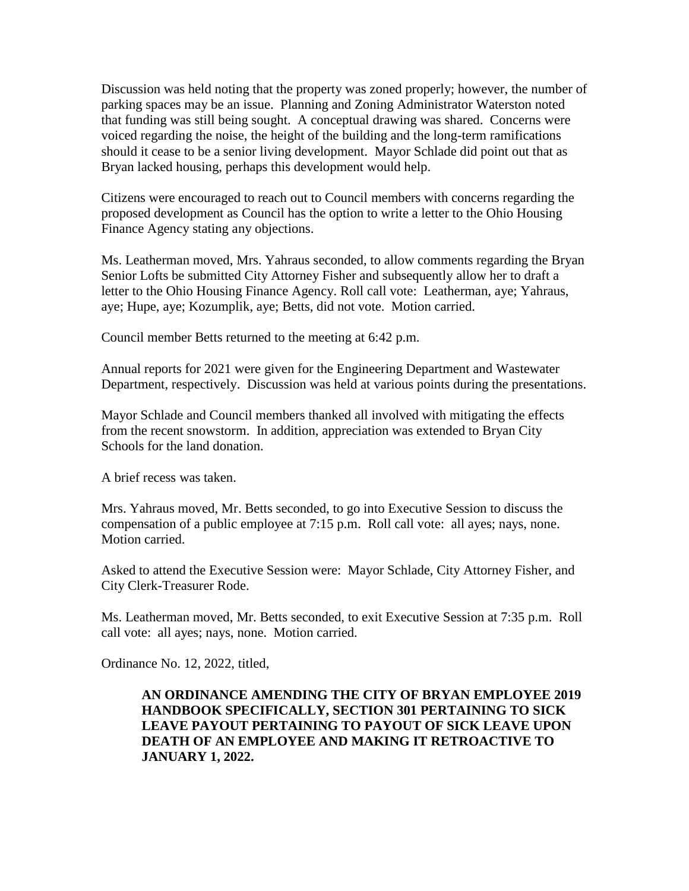Discussion was held noting that the property was zoned properly; however, the number of parking spaces may be an issue. Planning and Zoning Administrator Waterston noted that funding was still being sought. A conceptual drawing was shared. Concerns were voiced regarding the noise, the height of the building and the long-term ramifications should it cease to be a senior living development. Mayor Schlade did point out that as Bryan lacked housing, perhaps this development would help.

Citizens were encouraged to reach out to Council members with concerns regarding the proposed development as Council has the option to write a letter to the Ohio Housing Finance Agency stating any objections.

Ms. Leatherman moved, Mrs. Yahraus seconded, to allow comments regarding the Bryan Senior Lofts be submitted City Attorney Fisher and subsequently allow her to draft a letter to the Ohio Housing Finance Agency. Roll call vote: Leatherman, aye; Yahraus, aye; Hupe, aye; Kozumplik, aye; Betts, did not vote. Motion carried.

Council member Betts returned to the meeting at 6:42 p.m.

Annual reports for 2021 were given for the Engineering Department and Wastewater Department, respectively. Discussion was held at various points during the presentations.

Mayor Schlade and Council members thanked all involved with mitigating the effects from the recent snowstorm. In addition, appreciation was extended to Bryan City Schools for the land donation.

A brief recess was taken.

Mrs. Yahraus moved, Mr. Betts seconded, to go into Executive Session to discuss the compensation of a public employee at 7:15 p.m. Roll call vote: all ayes; nays, none. Motion carried.

Asked to attend the Executive Session were: Mayor Schlade, City Attorney Fisher, and City Clerk-Treasurer Rode.

Ms. Leatherman moved, Mr. Betts seconded, to exit Executive Session at 7:35 p.m. Roll call vote: all ayes; nays, none. Motion carried.

Ordinance No. 12, 2022, titled,

# **AN ORDINANCE AMENDING THE CITY OF BRYAN EMPLOYEE 2019 HANDBOOK SPECIFICALLY, SECTION 301 PERTAINING TO SICK LEAVE PAYOUT PERTAINING TO PAYOUT OF SICK LEAVE UPON DEATH OF AN EMPLOYEE AND MAKING IT RETROACTIVE TO JANUARY 1, 2022.**